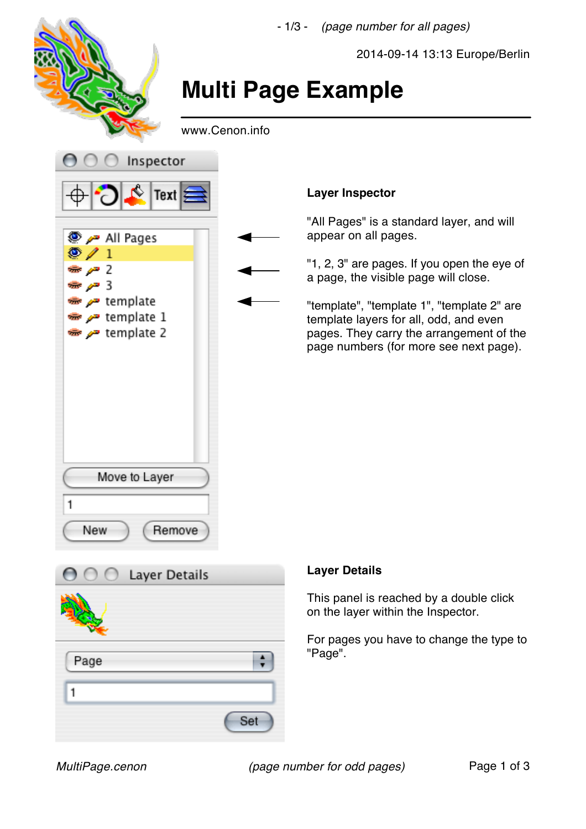

Set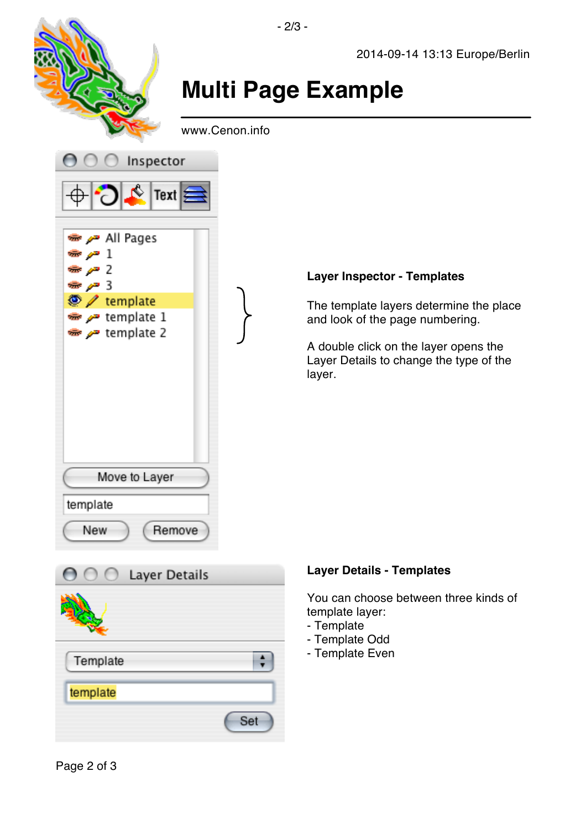

## **Layer Inspector - Templates**

The template layers determine the place and look of the page numbering.

A double click on the layer opens the Layer Details to change the type of the



## **Layer Details - Templates**

You can choose between three kinds of template layer:

- Template
- Template Odd
- Template Even